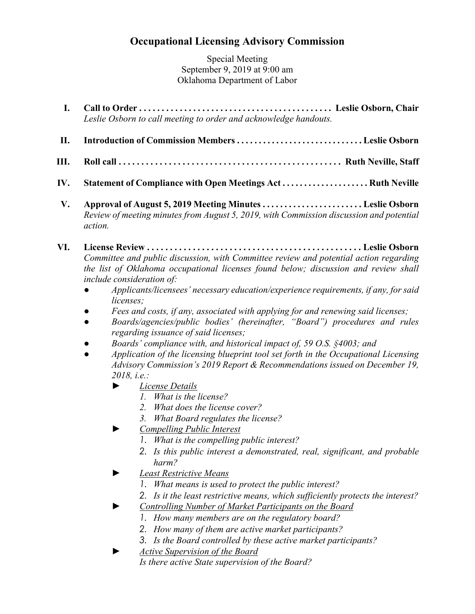## **Occupational Licensing Advisory Commission**

Special Meeting September 9, 2019 at 9:00 am Oklahoma Department of Labor

- **I. Call to Order . . . . . . . . . . . . . . . . . . . . . . . . . . . . . . . . . . . . . . . . . . . Leslie Osborn, Chair**  *Leslie Osborn to call meeting to order and acknowledge handouts.*
- **II. Introduction of Commission Members . . . . . . . . . . . . . . . . . . . . . . . . . . . . . Leslie Osborn**
- **III. Roll call . . . . . . . . . . . . . . . . . . . . . . . . . . . . . . . . . . . . . . . . . . . . . . . . . Ruth Neville, Staff**
- **IV. Statement of Compliance with Open Meetings Act . . . . . . . . . . . . . . . . . . . . Ruth Neville**
- **V. Approval of August 5, 2019 Meeting Minutes . . . . . . . . . . . . . . . . . . . . . . . Leslie Osborn** *Review of meeting minutes from August 5, 2019, with Commission discussion and potential action.*
- **VI. License Review . . . . . . . . . . . . . . . . . . . . . . . . . . . . . . . . . . . . . . . . . . . . . . . Leslie Osborn** *Committee and public discussion, with Committee review and potential action regarding the list of Oklahoma occupational licenses found below; discussion and review shall include consideration of:*
	- *● Applicants/licensees' necessary education/experience requirements, if any, for said licenses;*
	- *● Fees and costs, if any, associated with applying for and renewing said licenses;*
	- *● Boards/agencies/public bodies' (hereinafter, "Board") procedures and rules regarding issuance of said licenses;*
	- *● Boards' compliance with, and historical impact of, 59 O.S. §4003; and*
	- *● Application of the licensing blueprint tool set forth in the Occupational Licensing Advisory Commission's 2019 Report & Recommendations issued on December 19, 2018, i.e.:*
		- *► License Details*
			- *1. What is the license?*
			- *2. What does the license cover?*
			- *3. What Board regulates the license?*
		- *► Compelling Public Interest*
			- *1. What is the compelling public interest?*
			- *2. Is this public interest a demonstrated, real, significant, and probable harm?*
		- *► Least Restrictive Means*
			- *1. What means is used to protect the public interest?*
			- *2. Is it the least restrictive means, which sufficiently protects the interest?*
		- *► Controlling Number of Market Participants on the Board*
			- *1. How many members are on the regulatory board?*
			- *2. How many of them are active market participants?*
			- *3. Is the Board controlled by these active market participants?*
		- *► Active Supervision of the Board Is there active State supervision of the Board?*